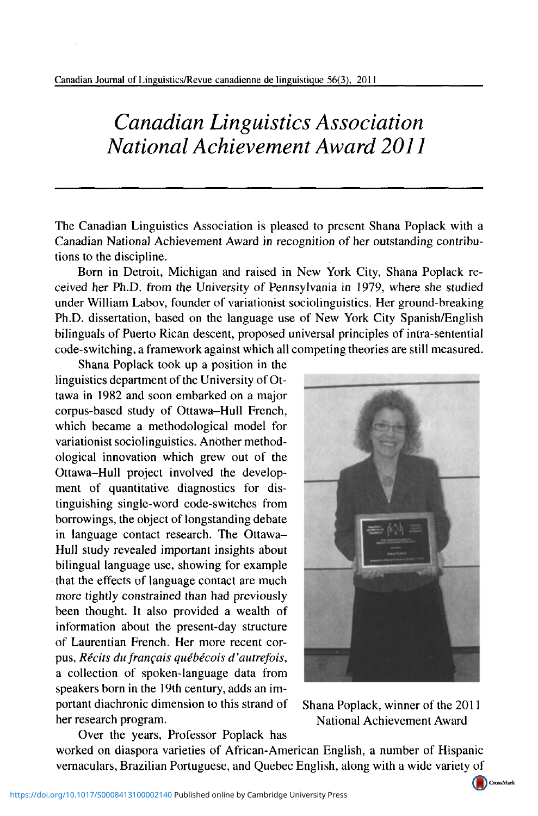## *Canadian Linguistics Association National Achievement Award 2011*

The Canadian Linguistics Association is pleased to present Shana Poplack with a Canadian National Achievement Award in recognition of her outstanding contributions to the discipline.

Born in Detroit, Michigan and raised in New York City, Shana Poplack received her Ph.D. from the University of Pennsylvania in 1979, where she studied under William Labov, founder of variationist sociolinguistics. Her ground-breaking Ph.D. dissertation, based on the language use of New York City Spanish/English bilinguals of Puerto Rican descent, proposed universal principles of intra-sentential code-switching, a framework against which all competing theories are still measured.

Shana Poplack took up a position in the linguistics department of the University of Ottawa in 1982 and soon embarked on a major corpus-based study of Ottawa-Hull French, which became a methodological model for variationist sociolinguistics. Anbther methodological innovation which grew out of the Ottawa-Hull project involved the development of quantitative diagnostics for distinguishing single-word code-switches from borrowings, the object of longstanding debate in language contact research. The Ottawa-Hull study revealed important insights about bilingual language use, showing for example that the effects of language contact are much more tightly constrained than had previously been thought. It also provided a wealth of information about the present-day structure of Laurentian French. Her more recent corpus, *Recits dufrangais quebecois d'autrefois,*  a collection of spoken-language data from speakers born in the 19th century, adds an important diachronic dimension to this strand of Shana Poplack, winner of the 2011 her research program. National Achievement Award



Over the years, Professor Poplack has worked on diaspora varieties of African-American English, a number of Hispanic vernaculars, Brazilian Portuguese, and Quebec English, along with a wide variety of

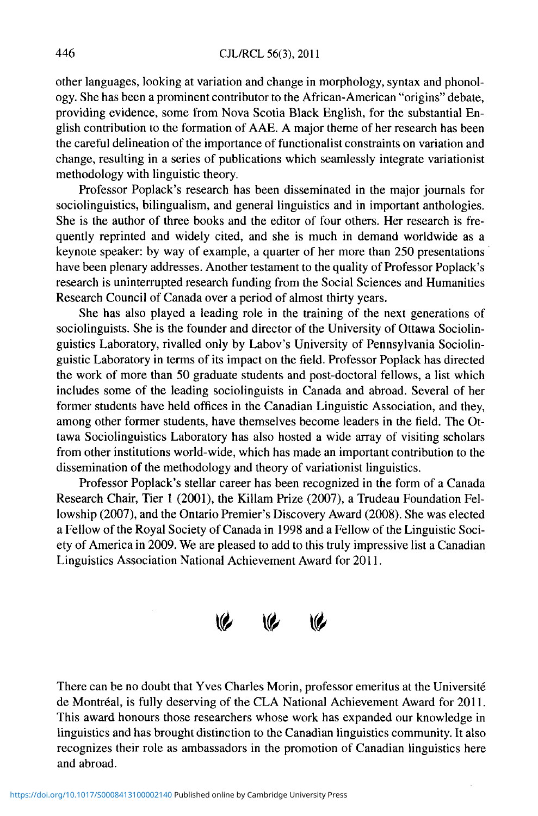other languages, looking at variation and change in morphology, syntax and phonology. She has been a prominent contributor to the African-American "origins" debate, providing evidence, some from Nova Scotia Black English, for the substantial English contribution to the formation of AAE. A major theme of her research has been the careful delineation of the importance of functionalist constraints on variation and change, resulting in a series of publications which seamlessly integrate variationist methodology with linguistic theory.

Professor Poplack's research has been disseminated in the major journals for sociolinguistics, bilingualism, and general linguistics and in important anthologies. She is the author of three books and the editor of four others. Her research is frequently reprinted and widely cited, and she is much in demand worldwide as a keynote speaker: by way of example, a quarter of her more than 250 presentations have been plenary addresses. Another testament to the quality of Professor Poplack's research is uninterrupted research funding from the Social Sciences and Humanities Research Council of Canada over a period of almost thirty years.

She has also played a leading role in the training of the next generations of sociolinguists. She is the founder and director of the University of Ottawa Sociolinguistics Laboratory, rivalled only by Labov's University of Pennsylvania Sociolinguistic Laboratory in terms of its impact on the field. Professor Poplack has directed the work of more than 50 graduate students and post-doctoral fellows, a list which includes some of the leading sociolinguists in Canada and abroad. Several of her former students have held offices in the Canadian Linguistic Association, and they, among other former students, have themselves become leaders in the field. The Ottawa Sociolinguistics Laboratory has also hosted a wide array of visiting scholars from other institutions world-wide, which has made an important contribution to the dissemination of the methodology and theory of variationist linguistics.

Professor Poplack's stellar career has been recognized in the form of a Canada Research Chair, Tier 1 (2001), the Killam Prize (2007), a Trudeau Foundation Fellowship (2007), and the Ontario Premier's Discovery Award (2008). She was elected a Fellow of the Royal Society of Canada in 1998 and a Fellow of the Linguistic Society of America in 2009. We are pleased to add to this truly impressive list a Canadian Linguistics Association National Achievement Award for 2011.



There can be no doubt that Yves Charles Morin, professor emeritus at the Universite de Montreal, is fully deserving of the CLA National Achievement Award for 2011. This award honours those researchers whose work has expanded our knowledge in linguistics and has brought distinction to the Canadian linguistics community. It also recognizes their role as ambassadors in the promotion of Canadian linguistics here and abroad.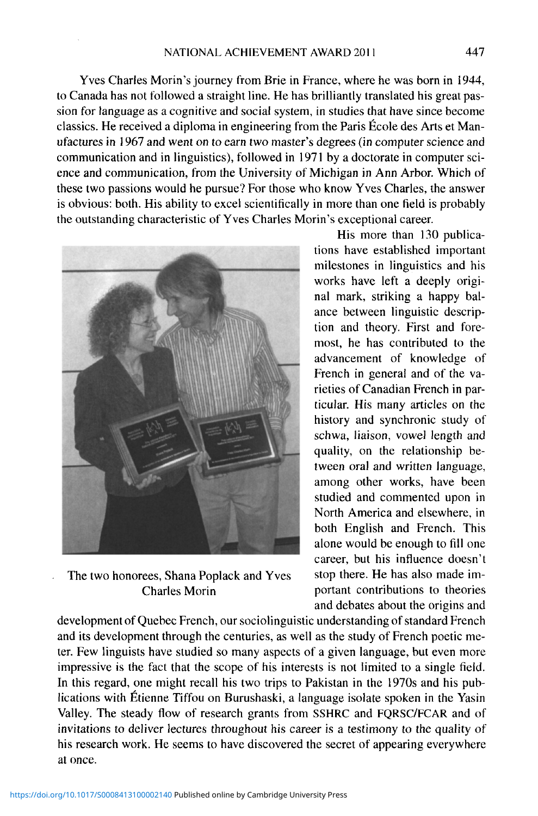Yves Charles Morin's journey from Brie in France, where he was born in 1944, to Canada has not followed a straight line. He has brilliantly translated his great passion for language as a cognitive and social system, in studies that have since become classics. He received a diploma in engineering from the Paris Ecole des Arts et Manufactures in 1967 and went on to earn two master's degrees (in computer science and communication and in linguistics), followed in 1971 by a doctorate in computer science and communication, from the University of Michigan in Ann Arbor. Which of these two passions would he pursue? For those who know Yves Charles, the answer is obvious: both. His ability to excel scientifically in more than one field is probably the outstanding characteristic of Yves Charles Morin's exceptional career.



The two honorees, Shana Poplack and Yves Charles Morin

His more than 130 publications have established important milestones in linguistics and his works have left a deeply original mark, striking a happy balance between linguistic description and theory. First and foremost, he has contributed to the advancement of knowledge of French in general and of the varieties of Canadian French in particular. His many articles on the history and synchronic study of schwa, liaison, vowel length and quality, on the relationship between oral and written language, among other works, have been studied and commented upon in North America and elsewhere, in both English and French. This alone would be enough to fill one career, but his influence doesn't stop there. He has also made important contributions to theories and debates about the origins and

development of Quebec French, our sociolinguistic understanding of standard French and its development through the centuries, as well as the study of French poetic meter. Few linguists have studied so many aspects of a given language, but even more impressive is the fact that the scope of his interests is not limited to a single field. In this regard, one might recall his two trips to Pakistan in the 1970s and his publications with Etienne Tiffou on Burushaski, a language isolate spoken in the Yasin Valley. The steady flow of research grants from SSHRC and FQRSC/FCAR and of vancy. The sically flow of research grants from soried and powserver and of his results to defiver fectures throughout his caleer is a testifiony to the quality of his research work. He seems to have discovered the secret of appearing everywhere at once.